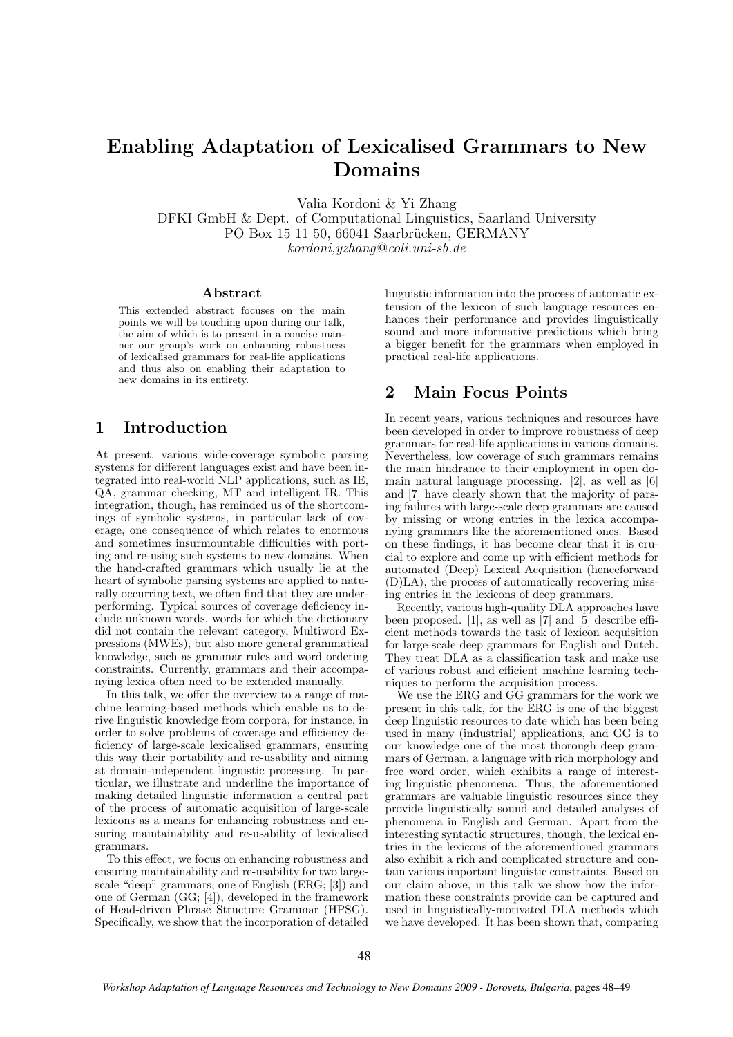# Enabling Adaptation of Lexicalised Grammars to New Domains

Valia Kordoni & Yi Zhang

DFKI GmbH & Dept. of Computational Linguistics, Saarland University PO Box 15 11 50, 66041 Saarbrücken, GERMANY

kordoni,yzhang@coli.uni-sb.de

#### Abstract

This extended abstract focuses on the main points we will be touching upon during our talk, the aim of which is to present in a concise manner our group's work on enhancing robustness of lexicalised grammars for real-life applications and thus also on enabling their adaptation to new domains in its entirety.

## 1 Introduction

At present, various wide-coverage symbolic parsing systems for different languages exist and have been integrated into real-world NLP applications, such as IE, QA, grammar checking, MT and intelligent IR. This integration, though, has reminded us of the shortcomings of symbolic systems, in particular lack of coverage, one consequence of which relates to enormous and sometimes insurmountable difficulties with porting and re-using such systems to new domains. When the hand-crafted grammars which usually lie at the heart of symbolic parsing systems are applied to naturally occurring text, we often find that they are underperforming. Typical sources of coverage deficiency include unknown words, words for which the dictionary did not contain the relevant category, Multiword Expressions (MWEs), but also more general grammatical knowledge, such as grammar rules and word ordering constraints. Currently, grammars and their accompanying lexica often need to be extended manually.

In this talk, we offer the overview to a range of machine learning-based methods which enable us to derive linguistic knowledge from corpora, for instance, in order to solve problems of coverage and efficiency deficiency of large-scale lexicalised grammars, ensuring this way their portability and re-usability and aiming at domain-independent linguistic processing. In particular, we illustrate and underline the importance of making detailed linguistic information a central part of the process of automatic acquisition of large-scale lexicons as a means for enhancing robustness and ensuring maintainability and re-usability of lexicalised grammars.

To this effect, we focus on enhancing robustness and ensuring maintainability and re-usability for two largescale "deep" grammars, one of English (ERG; [3]) and one of German (GG; [4]), developed in the framework of Head-driven Phrase Structure Grammar (HPSG). Specifically, we show that the incorporation of detailed linguistic information into the process of automatic extension of the lexicon of such language resources enhances their performance and provides linguistically sound and more informative predictions which bring a bigger benefit for the grammars when employed in practical real-life applications.

### 2 Main Focus Points

In recent years, various techniques and resources have been developed in order to improve robustness of deep grammars for real-life applications in various domains. Nevertheless, low coverage of such grammars remains the main hindrance to their employment in open domain natural language processing. [2], as well as [6] and [7] have clearly shown that the majority of parsing failures with large-scale deep grammars are caused by missing or wrong entries in the lexica accompanying grammars like the aforementioned ones. Based on these findings, it has become clear that it is crucial to explore and come up with efficient methods for automated (Deep) Lexical Acquisition (henceforward (D)LA), the process of automatically recovering missing entries in the lexicons of deep grammars.

Recently, various high-quality DLA approaches have been proposed. [1], as well as [7] and [5] describe efficient methods towards the task of lexicon acquisition for large-scale deep grammars for English and Dutch. They treat DLA as a classification task and make use of various robust and efficient machine learning techniques to perform the acquisition process.

We use the ERG and GG grammars for the work we present in this talk, for the ERG is one of the biggest deep linguistic resources to date which has been being used in many (industrial) applications, and GG is to our knowledge one of the most thorough deep grammars of German, a language with rich morphology and free word order, which exhibits a range of interesting linguistic phenomena. Thus, the aforementioned grammars are valuable linguistic resources since they provide linguistically sound and detailed analyses of phenomena in English and German. Apart from the interesting syntactic structures, though, the lexical entries in the lexicons of the aforementioned grammars also exhibit a rich and complicated structure and contain various important linguistic constraints. Based on our claim above, in this talk we show how the information these constraints provide can be captured and used in linguistically-motivated DLA methods which we have developed. It has been shown that, comparing